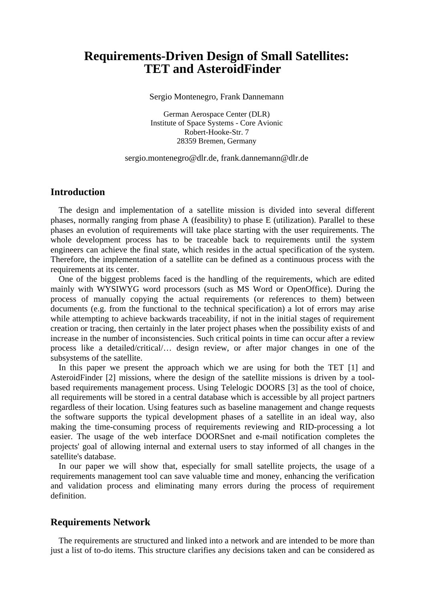# **Requirements-Driven Design of Small Satellites: TET and AsteroidFinder**

Sergio Montenegro, Frank Dannemann

German Aerospace Center (DLR) Institute of Space Systems - Core Avionic Robert-Hooke-Str. 7 28359 Bremen, Germany

#### sergio.montenegro@dlr.de, frank.dannemann@dlr.de

## **Introduction**

The design and implementation of a satellite mission is divided into several different phases, normally ranging from phase A (feasibility) to phase E (utilization). Parallel to these phases an evolution of requirements will take place starting with the user requirements. The whole development process has to be traceable back to requirements until the system engineers can achieve the final state, which resides in the actual specification of the system. Therefore, the implementation of a satellite can be defined as a continuous process with the requirements at its center.

One of the biggest problems faced is the handling of the requirements, which are edited mainly with WYSIWYG word processors (such as MS Word or OpenOffice). During the process of manually copying the actual requirements (or references to them) between documents (e.g. from the functional to the technical specification) a lot of errors may arise while attempting to achieve backwards traceability, if not in the initial stages of requirement creation or tracing, then certainly in the later project phases when the possibility exists of and increase in the number of inconsistencies. Such critical points in time can occur after a review process like a detailed/critical/… design review, or after major changes in one of the subsystems of the satellite.

In this paper we present the approach which we are using for both the TET [1] and AsteroidFinder [2] missions, where the design of the satellite missions is driven by a toolbased requirements management process. Using Telelogic DOORS [3] as the tool of choice, all requirements will be stored in a central database which is accessible by all project partners regardless of their location. Using features such as baseline management and change requests the software supports the typical development phases of a satellite in an ideal way, also making the time-consuming process of requirements reviewing and RID-processing a lot easier. The usage of the web interface DOORSnet and e-mail notification completes the projects' goal of allowing internal and external users to stay informed of all changes in the satellite's database.

In our paper we will show that, especially for small satellite projects, the usage of a requirements management tool can save valuable time and money, enhancing the verification and validation process and eliminating many errors during the process of requirement definition.

### **Requirements Network**

The requirements are structured and linked into a network and are intended to be more than just a list of to-do items. This structure clarifies any decisions taken and can be considered as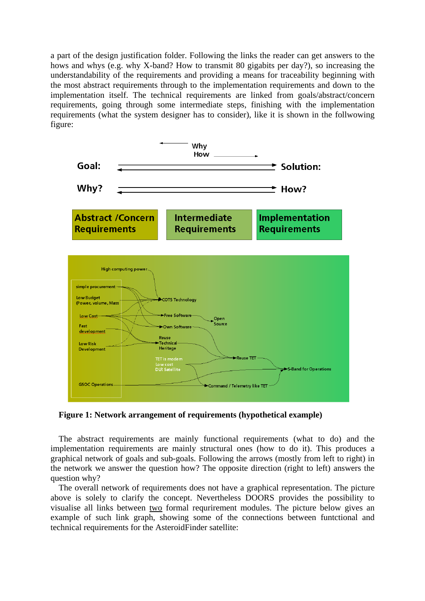a part of the design justification folder. Following the links the reader can get answers to the hows and whys (e.g. why X-band? How to transmit 80 gigabits per day?), so increasing the understandability of the requirements and providing a means for traceability beginning with the most abstract requirements through to the implementation requirements and down to the implementation itself. The technical requirements are linked from goals/abstract/concern requirements, going through some intermediate steps, finishing with the implementation requirements (what the system designer has to consider), like it is shown in the follwowing figure:



**Figure 1: Network arrangement of requirements (hypothetical example)** 

The abstract requirements are mainly functional requirements (what to do) and the implementation requirements are mainly structural ones (how to do it). This produces a graphical network of goals and sub-goals. Following the arrows (mostly from left to right) in the network we answer the question how? The opposite direction (right to left) answers the question why?

The overall network of requirements does not have a graphical representation. The picture above is solely to clarify the concept. Nevertheless DOORS provides the possibility to visualise all links between two formal requrirement modules. The picture below gives an example of such link graph, showing some of the connections between funtctional and technical requirements for the AsteroidFinder satellite: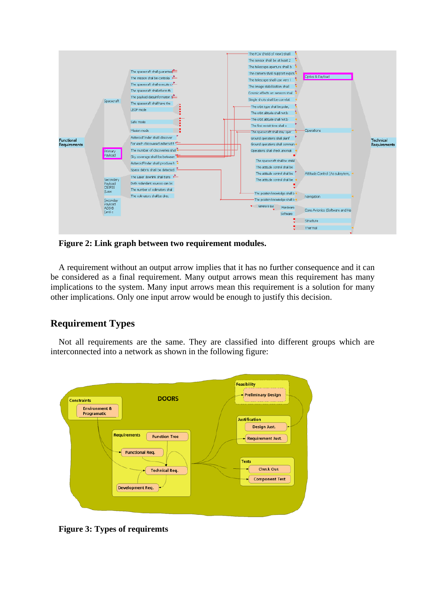

**Figure 2: Link graph between two requirement modules.** 

A requirement without an output arrow implies that it has no further consequence and it can be considered as a final requirement. Many output arrows mean this requirement has many implications to the system. Many input arrows mean this requirement is a solution for many other implications. Only one input arrow would be enough to justify this decision.

## **Requirement Types**

Not all requirements are the same. They are classified into different groups which are interconnected into a network as shown in the following figure:



**Figure 3: Types of requiremts**